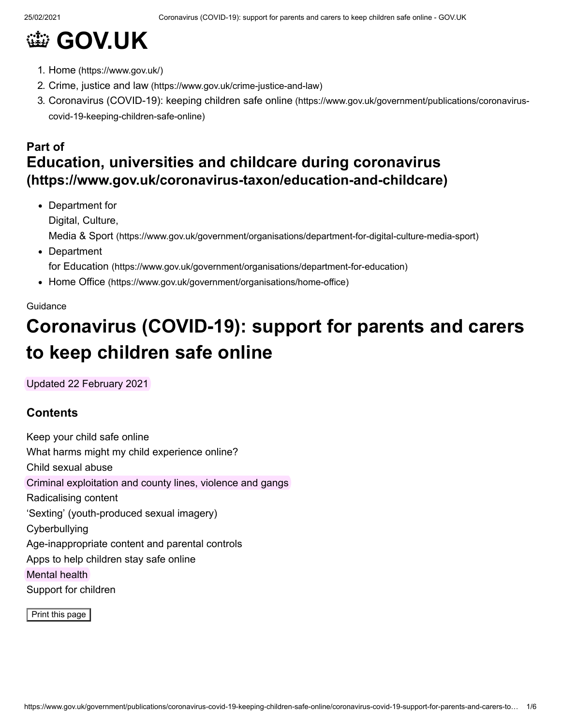# **@ [GOV.UK](https://www.gov.uk/)**

- 1. Home [\(https://www.gov.uk/\)](https://www.gov.uk/)
- 2. Crime, justice and law [\(https://www.gov.uk/crime-justice-and-law\)](https://www.gov.uk/crime-justice-and-law)
- 3. [Coronavirus \(COVID-19\): keeping children safe online](https://www.gov.uk/government/publications/coronavirus-covid-19-keeping-children-safe-online) (https://www.gov.uk/government/publications/coronaviruscovid-19-keeping-children-safe-online)

## **Part of [Education, universities and childcare during coronavirus](https://www.gov.uk/coronavirus-taxon/education-and-childcare) (https://www.gov.uk/coronavirus-taxon/education-and-childcare)**

Department for Digital, Culture, Media & Sport [\(https://www.gov.uk/government/organisations/department-for-digital-culture-media-sport\)](https://www.gov.uk/government/organisations/department-for-digital-culture-media-sport) • Department

for Education [\(https://www.gov.uk/government/organisations/department-for-education\)](https://www.gov.uk/government/organisations/department-for-education)

• Home Office [\(https://www.gov.uk/government/organisations/home-office\)](https://www.gov.uk/government/organisations/home-office)

#### **Guidance**

## **Coronavirus (COVID-19): support for parents and carers to keep children safe online**

Updated 22 February 2021

### **Contents**

Keep your child safe online What harms might my child experience online? Child sexual abuse Criminal exploitation and county lines, violence and gangs Radicalising content 'Sexting' (youth-produced sexual imagery) Cyberbullying Age-inappropriate content and parental controls Apps to help children stay safe online Mental health Support for children

Print this page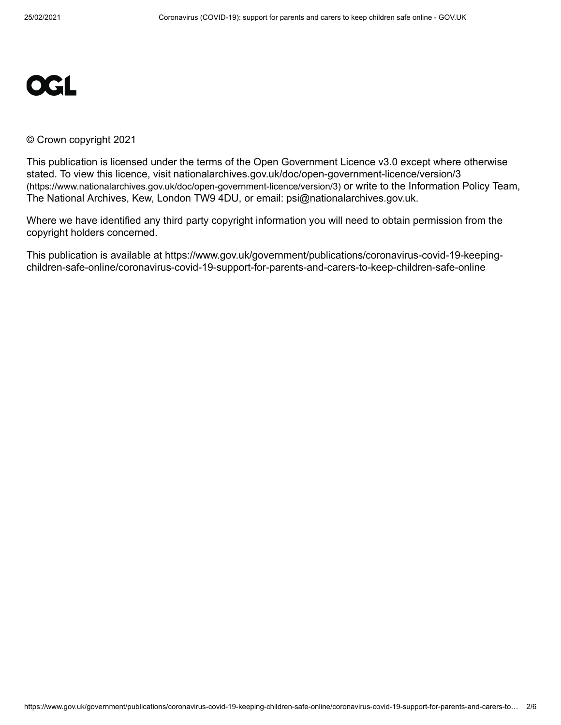

#### © Crown copyright 2021

This publication is licensed under the terms of the Open Government Licence v3.0 except where otherwise [stated. To view this licence, visit nationalarchives.gov.uk/doc/open-government-licence/version/3](https://www.nationalarchives.gov.uk/doc/open-government-licence/version/3) (https://www.nationalarchives.gov.uk/doc/open-government-licence/version/3) or write to the Information Policy Team, The National Archives, Kew, London TW9 4DU, or email: [psi@nationalarchives.gov.uk](mailto:psi@nationalarchives.gov.uk).

Where we have identified any third party copyright information you will need to obtain permission from the copyright holders concerned.

This publication is available at https://www.gov.uk/government/publications/coronavirus-covid-19-keepingchildren-safe-online/coronavirus-covid-19-support-for-parents-and-carers-to-keep-children-safe-online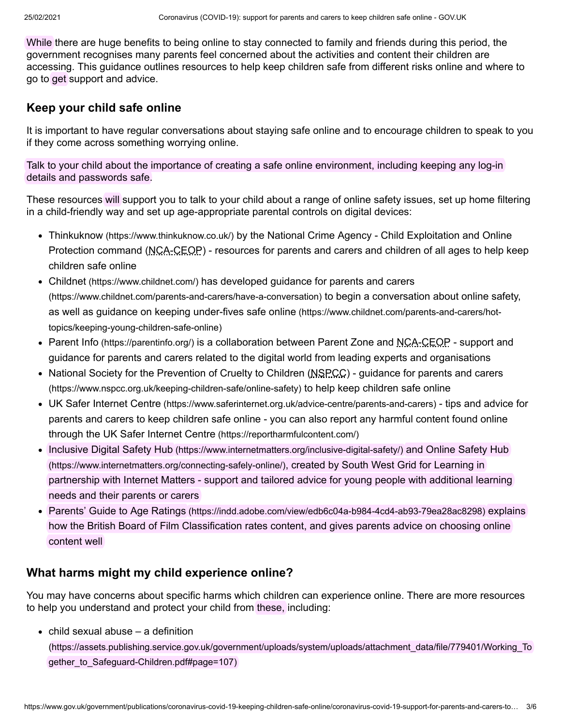While there are huge benefits to being online to stay connected to family and friends during this period, the government recognises many parents feel concerned about the activities and content their children are accessing. This guidance outlines resources to help keep children safe from different risks online and where to go to get support and advice.

## **Keep your child safe online**

It is important to have regular conversations about staying safe online and to encourage children to speak to you if they come across something worrying online.

Talk to your child about the importance of creating a safe online environment, including keeping any log-in details and passwords safe.

These resources will support you to talk to your child about a range of online safety issues, set up home filtering in a child-friendly way and set up age-appropriate parental controls on digital devices:

- Thinkuknow [\(https://www.thinkuknow.co.uk/\)](https://www.thinkuknow.co.uk/) by the National Crime Agency Child Exploitation and Online Protection command (NCA-CEOP) - resources for parents and carers and children of all ages to help keep children safe online
- Childnet [\(https://www.childnet.com/\)](https://www.childnet.com/) has developed guidance for parents and carers [\(https://www.childnet.com/parents-and-carers/have-a-conversation\)](https://www.childnet.com/parents-and-carers/have-a-conversation) to begin a conversation about online safety, [as well as guidance on keeping under-fives safe online](https://www.childnet.com/parents-and-carers/hot-topics/keeping-young-children-safe-online) (https://www.childnet.com/parents-and-carers/hottopics/keeping-young-children-safe-online)
- Parent Info [\(https://parentinfo.org/\)](https://parentinfo.org/) is a collaboration between Parent Zone and NCA-CEOP support and guidance for parents and carers related to the digital world from leading experts and organisations
- National Society for the Prevention of Cruelty to Children (NSPCC) quidance for parents and carers (https://www.nspcc.org.uk/keeping-children-safe/online-safety) to help keep children safe online
- UK Safer Internet Centre [\(https://www.saferinternet.org.uk/advice-centre/parents-and-carers\)](https://www.saferinternet.org.uk/advice-centre/parents-and-carers) tips and advice for [parents and carers to keep children safe online - you can also report any harmful content found online](https://reportharmfulcontent.com/) through the UK Safer Internet Centre (https://reportharmfulcontent.com/)
- Inclusive Digital Safety Hub [\(https://www.internetmatters.org/inclusive-digital-safety/\)](https://www.internetmatters.org/inclusive-digital-safety/) and Online Safety Hub [\(https://www.internetmatters.org/connecting-safely-online/\)](https://www.internetmatters.org/connecting-safely-online/), created by South West Grid for Learning in partnership with Internet Matters - support and tailored advice for young people with additional learning needs and their parents or carers
- Parents' Guide to Age Ratings [\(https://indd.adobe.com/view/edb6c04a-b984-4cd4-ab93-79ea28ac8298\)](https://indd.adobe.com/view/edb6c04a-b984-4cd4-ab93-79ea28ac8298) explains how the British Board of Film Classification rates content, and gives parents advice on choosing online content well

## **What harms might my child experience online?**

You may have concerns about specific harms which children can experience online. There are more resources to help you understand and protect your child from these, including:

 $\bullet$  child sexual abuse – a definition

[\(https://assets.publishing.service.gov.uk/government/uploads/system/uploads/attachment\\_data/file/779401/Working\\_To](https://assets.publishing.service.gov.uk/government/uploads/system/uploads/attachment_data/file/779401/Working_Together_to_Safeguard-Children.pdf#page=107) gether\_to\_Safeguard-Children.pdf#page=107)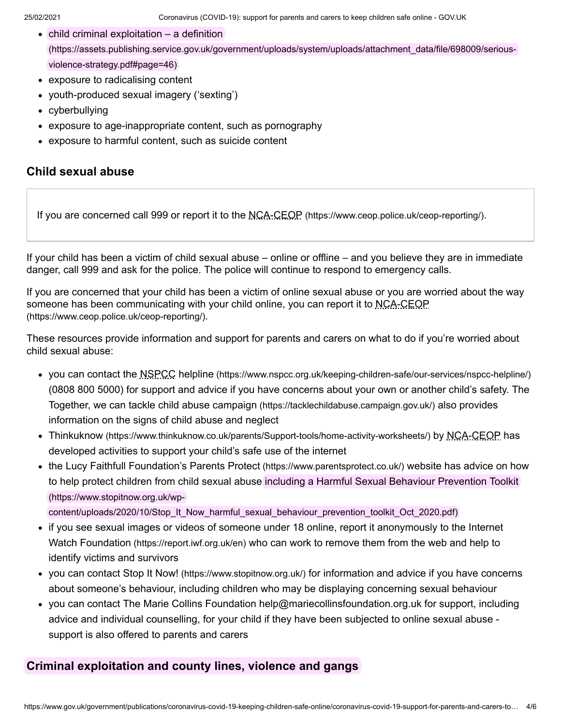- $\bullet$  child criminal exploitation a definition [\(https://assets.publishing.service.gov.uk/government/uploads/system/uploads/attachment\\_data/file/698009/serious](https://assets.publishing.service.gov.uk/government/uploads/system/uploads/attachment_data/file/698009/serious-violence-strategy.pdf#page=46)violence-strategy.pdf#page=46)
- exposure to radicalising content
- youth-produced sexual imagery ('sexting')
- cyberbullying
- exposure to age-inappropriate content, such as pornography
- exposure to harmful content, such as suicide content

#### **Child sexual abuse**

If you are concerned call 999 or report it to the NCA-CEOP [\(https://www.ceop.police.uk/ceop-reporting/\)](https://www.ceop.police.uk/ceop-reporting/).

If your child has been a victim of child sexual abuse – online or offline – and you believe they are in immediate danger, call 999 and ask for the police. The police will continue to respond to emergency calls.

If you are concerned that your child has been a victim of online sexual abuse or you are worried about the way [someone has been communicating with your child online, you can report it to NCA-CEOP](https://www.ceop.police.uk/ceop-reporting/) (https://www.ceop.police.uk/ceop-reporting/).

These resources provide information and support for parents and carers on what to do if you're worried about child sexual abuse:

- you can contact the NSPCC helpline [\(https://www.nspcc.org.uk/keeping-children-safe/our-services/nspcc-helpline/\)](https://www.nspcc.org.uk/keeping-children-safe/our-services/nspcc-helpline/) (0808 800 5000) for support and advice if you have concerns about your own or another child's safety. The [Together, we can tackle child abuse campaign](https://tacklechildabuse.campaign.gov.uk/) (https://tacklechildabuse.campaign.gov.uk/) also provides information on the signs of child abuse and neglect
- Thinkuknow [\(https://www.thinkuknow.co.uk/parents/Support-tools/home-activity-worksheets/\)](https://www.thinkuknow.co.uk/parents/Support-tools/home-activity-worksheets/) by NCA-CEOP has developed activities to support your child's safe use of the internet
- the Lucy Faithfull Foundation's Parents Protect [\(https://www.parentsprotect.co.uk/\)](https://www.parentsprotect.co.uk/) website has advice on how [to help protect children from child sexual abuse including a Harmful Sexual Behaviour Prevention Toolkit](https://www.stopitnow.org.uk/wp-content/uploads/2020/10/Stop_It_Now_harmful_sexual_behaviour_prevention_toolkit_Oct_2020.pdf) (https://www.stopitnow.org.uk/wp-

content/uploads/2020/10/Stop\_It\_Now\_harmful\_sexual\_behaviour\_prevention\_toolkit\_Oct\_2020.pdf)

- [if you see sexual images or videos of someone under 18 online, report it anonymously to the Internet](https://report.iwf.org.uk/en) Watch Foundation (https://report.iwf.org.uk/en) who can work to remove them from the web and help to identify victims and survivors
- you can contact Stop It Now! [\(https://www.stopitnow.org.uk/\)](https://www.stopitnow.org.uk/) for information and advice if you have concerns about someone's behaviour, including children who may be displaying concerning sexual behaviour
- you can contact The Marie Collins Foundation [help@mariecollinsfoundation.org.uk](mailto:help@mariecollinsfoundation.org.uk) for support, including advice and individual counselling, for your child if they have been subjected to online sexual abuse support is also offered to parents and carers

#### **Criminal exploitation and county lines, violence and gangs**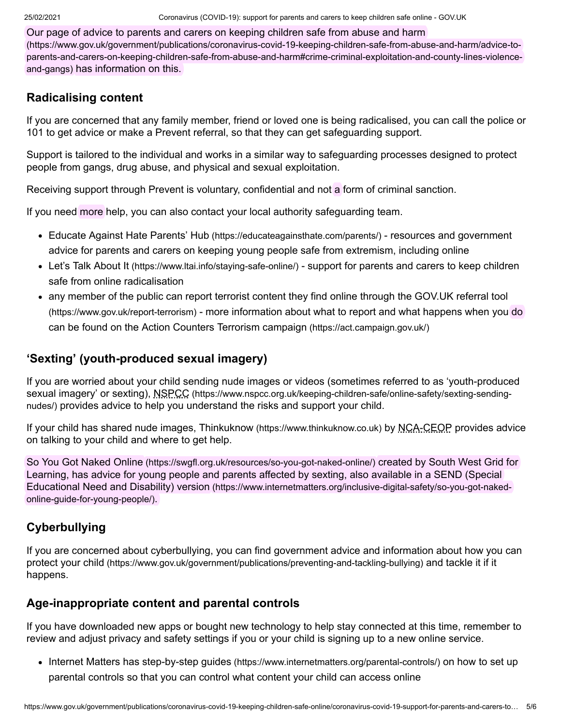Our page of advice to parents and carers on keeping children safe from abuse and harm (https://www.gov.uk/government/publications/coronavirus-covid-19-keeping-children-safe-from-abuse-and-harm/advice-to[parents-and-carers-on-keeping-children-safe-from-abuse-and-harm#crime-criminal-exploitation-and-county-lines-violence](https://www.gov.uk/government/publications/coronavirus-covid-19-keeping-children-safe-from-abuse-and-harm/advice-to-parents-and-carers-on-keeping-children-safe-from-abuse-and-harm#crime-criminal-exploitation-and-county-lines-violence-and-gangs)and-gangs) has information on this.

### **Radicalising content**

If you are concerned that any family member, friend or loved one is being radicalised, you can call the police or 101 to get advice or make a Prevent referral, so that they can get safeguarding support.

Support is tailored to the individual and works in a similar way to safeguarding processes designed to protect people from gangs, drug abuse, and physical and sexual exploitation.

Receiving support through Prevent is voluntary, confidential and not a form of criminal sanction.

If you need more help, you can also contact your local authority safeguarding team.

- [Educate Against Hate Parents' Hub](https://educateagainsthate.com/parents/) (https://educateagainsthate.com/parents/) resources and government advice for parents and carers on keeping young people safe from extremism, including online
- Let's Talk About It [\(https://www.ltai.info/staying-safe-online/\)](https://www.ltai.info/staying-safe-online/) support for parents and carers to keep children safe from online radicalisation
- [any member of the public can report terrorist content they find online through the GOV.UK referral tool](https://www.gov.uk/report-terrorism) (https://www.gov.uk/report-terrorism) - more information about what to report and what happens when you do can be found on the [Action Counters Terrorism campaign](https://act.campaign.gov.uk/) (https://act.campaign.gov.uk/)

## **'Sexting' (youth-produced sexual imagery)**

If you are worried about your child sending nude images or videos (sometimes referred to as 'youth-produced sexual imagery' or sexting), NSPCC (https://www.nspcc.org.uk/keeping-children-safe/online-safety/sexting-sendingnudes/) [provides advice to help you understand the risks and support your child.](https://www.nspcc.org.uk/keeping-children-safe/online-safety/sexting-sending-nudes/)

If your child has shared nude images, Thinkuknow [\(https://www.thinkuknow.co.uk\)](https://www.thinkuknow.co.uk/) by NCA-CEOP provides advice on talking to your child and where to get help.

So You Got Naked Online [\(https://swgfl.org.uk/resources/so-you-got-naked-online/\)](https://swgfl.org.uk/resources/so-you-got-naked-online/) created by South West Grid for [Learning, has advice for young people and parents affected by sexting, also available in a SEND \(Special](https://www.internetmatters.org/inclusive-digital-safety/so-you-got-naked-online-guide-for-young-people/) Educational Need and Disability) version (https://www.internetmatters.org/inclusive-digital-safety/so-you-got-nakedonline-guide-for-young-people/).

## **Cyberbullying**

[If you are concerned about cyberbullying, you can find government advice and information about how you can](https://www.gov.uk/government/publications/preventing-and-tackling-bullying) protect your child (https://www.gov.uk/government/publications/preventing-and-tackling-bullying) and tackle it if it happens.

## **Age-inappropriate content and parental controls**

If you have downloaded new apps or bought new technology to help stay connected at this time, remember to review and adjust privacy and safety settings if you or your child is signing up to a new online service.

• Internet Matters has step-by-step guides [\(https://www.internetmatters.org/parental-controls/\)](https://www.internetmatters.org/parental-controls/) on how to set up parental controls so that you can control what content your child can access online